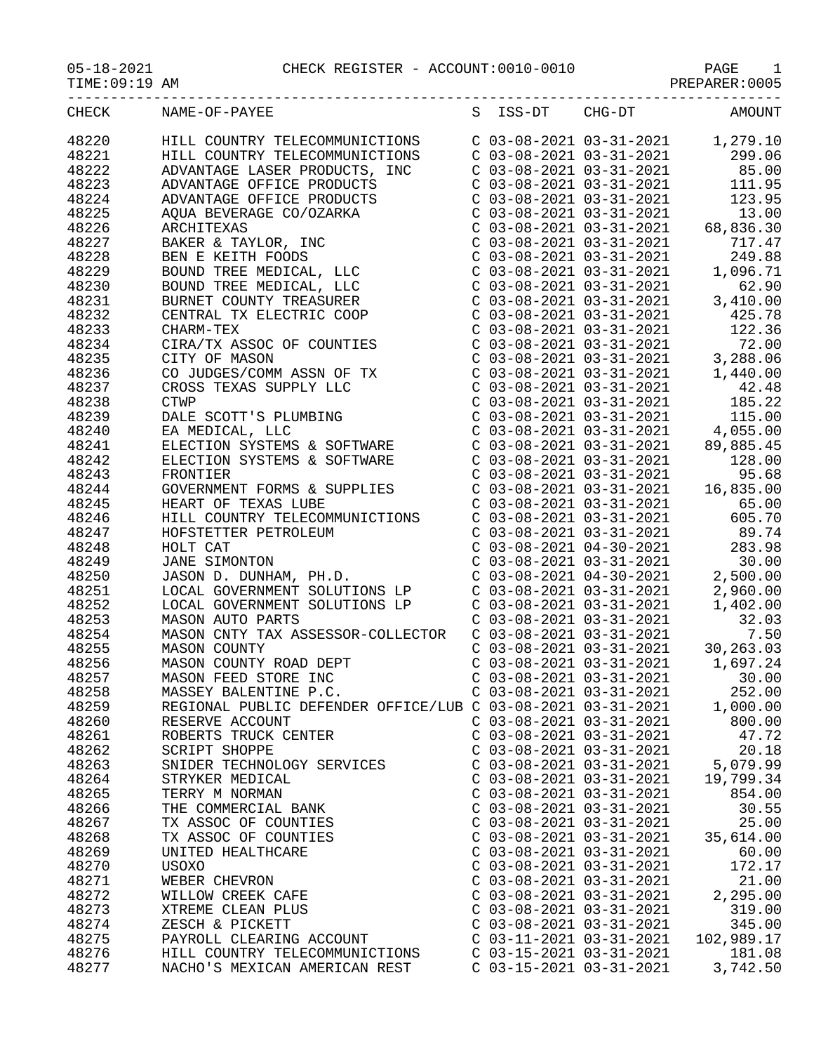05-18-2021 CHECK REGISTER - ACCOUNT:0010-0010 PAGE 1

| TIME:09:19 AM |  |
|---------------|--|
|---------------|--|

| TIME:09:19 AM | PREPARER: 0005 |
|---------------|----------------|
|---------------|----------------|

| CHECK          | NAME-OF-PAYEE                                                                                                                                                                                                                     |                           |                           | S ISS-DT CHG-DT AMOUNT |
|----------------|-----------------------------------------------------------------------------------------------------------------------------------------------------------------------------------------------------------------------------------|---------------------------|---------------------------|------------------------|
| 48220          |                                                                                                                                                                                                                                   |                           |                           |                        |
| 48221          |                                                                                                                                                                                                                                   |                           |                           |                        |
| 48222          |                                                                                                                                                                                                                                   |                           |                           |                        |
| 48223          |                                                                                                                                                                                                                                   |                           |                           |                        |
| 48224          |                                                                                                                                                                                                                                   |                           |                           |                        |
| 48225          |                                                                                                                                                                                                                                   |                           |                           |                        |
|                |                                                                                                                                                                                                                                   |                           |                           |                        |
| 48226          |                                                                                                                                                                                                                                   |                           |                           |                        |
| 48227          |                                                                                                                                                                                                                                   |                           |                           |                        |
| 48228<br>48229 |                                                                                                                                                                                                                                   |                           |                           |                        |
| 48230          |                                                                                                                                                                                                                                   |                           |                           |                        |
|                |                                                                                                                                                                                                                                   |                           |                           |                        |
| 48231          |                                                                                                                                                                                                                                   |                           |                           |                        |
| 48232          |                                                                                                                                                                                                                                   |                           |                           |                        |
| 48233          |                                                                                                                                                                                                                                   |                           |                           |                        |
| 48234          |                                                                                                                                                                                                                                   |                           |                           |                        |
| 48235          |                                                                                                                                                                                                                                   |                           |                           |                        |
| 48236          |                                                                                                                                                                                                                                   |                           |                           |                        |
| 48237          |                                                                                                                                                                                                                                   |                           |                           |                        |
| 48238          |                                                                                                                                                                                                                                   |                           |                           |                        |
| 48239          |                                                                                                                                                                                                                                   |                           |                           |                        |
| 48240          |                                                                                                                                                                                                                                   |                           |                           |                        |
| 48241          |                                                                                                                                                                                                                                   |                           |                           |                        |
| 48242          |                                                                                                                                                                                                                                   |                           |                           |                        |
| 48243          |                                                                                                                                                                                                                                   |                           |                           |                        |
| 48244          |                                                                                                                                                                                                                                   |                           |                           |                        |
| 48245          |                                                                                                                                                                                                                                   |                           |                           |                        |
| 48246          |                                                                                                                                                                                                                                   |                           |                           |                        |
| 48247          | COUTRY OF MASON COMITES<br>COUTROSS TEXAS SUPER PROGREMENT CONTRACT CONSISTERS ON ASSIN TRIMBUTE<br>CONSISTENCE CONSISTERS (CONSISTER CONSISTER CONSISTER PROGREMENT FOR A MADRI CONSISTER CONSISTER CONSISTER CONSISTENT CONSIST |                           |                           |                        |
| 48248          |                                                                                                                                                                                                                                   |                           |                           |                        |
| 48249          |                                                                                                                                                                                                                                   |                           |                           |                        |
| 48250          |                                                                                                                                                                                                                                   |                           |                           |                        |
| 48251          |                                                                                                                                                                                                                                   |                           |                           |                        |
| 48252          |                                                                                                                                                                                                                                   |                           |                           |                        |
| 48253          |                                                                                                                                                                                                                                   |                           |                           |                        |
| 48254          |                                                                                                                                                                                                                                   |                           |                           |                        |
| 48255          |                                                                                                                                                                                                                                   |                           |                           |                        |
| 48256          |                                                                                                                                                                                                                                   |                           |                           |                        |
| 48257          |                                                                                                                                                                                                                                   |                           |                           |                        |
| 48258          | MASSEY BALENTINE P.C.                                                                                                                                                                                                             |                           | $C$ 03-08-2021 03-31-2021 | 252.00                 |
| 48259          | REGIONAL PUBLIC DEFENDER OFFICE/LUB C 03-08-2021 03-31-2021                                                                                                                                                                       |                           |                           | 1,000.00               |
| 48260          | RESERVE ACCOUNT                                                                                                                                                                                                                   | $C$ 03-08-2021 03-31-2021 |                           | 800.00                 |
| 48261          | ROBERTS TRUCK CENTER                                                                                                                                                                                                              | $C$ 03-08-2021 03-31-2021 |                           | 47.72                  |
| 48262          | <b>SCRIPT SHOPPE</b>                                                                                                                                                                                                              | $C$ 03-08-2021 03-31-2021 |                           | 20.18                  |
| 48263          | SNIDER TECHNOLOGY SERVICES                                                                                                                                                                                                        | $C$ 03-08-2021 03-31-2021 |                           | 5,079.99               |
| 48264          | STRYKER MEDICAL                                                                                                                                                                                                                   | $C$ 03-08-2021 03-31-2021 |                           | 19,799.34              |
| 48265          | TERRY M NORMAN                                                                                                                                                                                                                    | $C$ 03-08-2021 03-31-2021 |                           | 854.00                 |
| 48266          | THE COMMERCIAL BANK                                                                                                                                                                                                               | $C$ 03-08-2021 03-31-2021 |                           | 30.55                  |
| 48267          | TX ASSOC OF COUNTIES                                                                                                                                                                                                              | $C$ 03-08-2021 03-31-2021 |                           | 25.00                  |
| 48268          | TX ASSOC OF COUNTIES                                                                                                                                                                                                              | $C$ 03-08-2021 03-31-2021 |                           | 35,614.00              |
| 48269          | UNITED HEALTHCARE                                                                                                                                                                                                                 | $C$ 03-08-2021 03-31-2021 |                           | 60.00                  |
| 48270          | USOXO                                                                                                                                                                                                                             | $C$ 03-08-2021 03-31-2021 |                           | 172.17                 |
| 48271          | WEBER CHEVRON                                                                                                                                                                                                                     | $C$ 03-08-2021 03-31-2021 |                           | 21.00                  |
| 48272          | WILLOW CREEK CAFE                                                                                                                                                                                                                 | $C$ 03-08-2021 03-31-2021 |                           | 2,295.00               |
| 48273          | XTREME CLEAN PLUS                                                                                                                                                                                                                 | $C$ 03-08-2021 03-31-2021 |                           | 319.00                 |
| 48274          | ZESCH & PICKETT                                                                                                                                                                                                                   | $C$ 03-08-2021 03-31-2021 |                           | 345.00                 |
| 48275          | PAYROLL CLEARING ACCOUNT                                                                                                                                                                                                          | C 03-11-2021 03-31-2021   |                           | 102,989.17             |
| 48276          | HILL COUNTRY TELECOMMUNICTIONS                                                                                                                                                                                                    | C 03-15-2021 03-31-2021   |                           | 181.08                 |
| 48277          | NACHO'S MEXICAN AMERICAN REST                                                                                                                                                                                                     | C 03-15-2021 03-31-2021   |                           | 3,742.50               |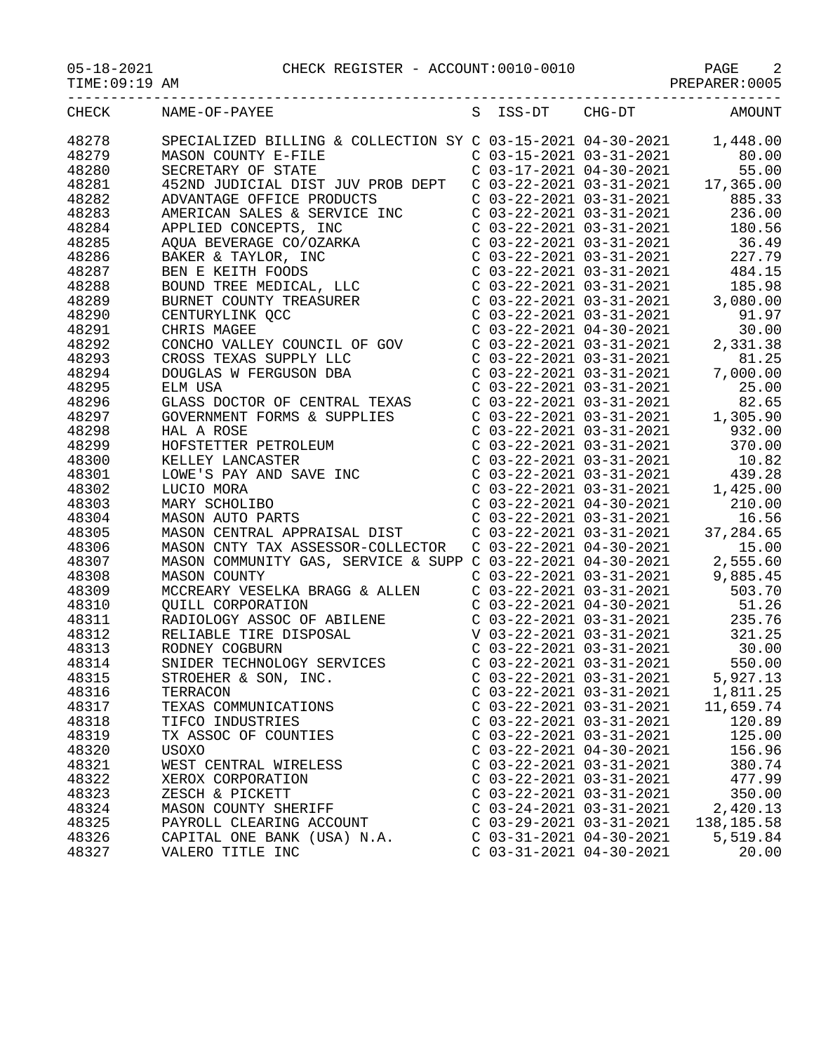05-18-2021 CHECK REGISTER - ACCOUNT:0010-0010 PAGE 2

PREPARER:0005

| TIME COVER HAM |                                                                                                                                                                                                                                                  |                                                    | FILBFAILBIL . OOOJ                                                                                                                                                           |
|----------------|--------------------------------------------------------------------------------------------------------------------------------------------------------------------------------------------------------------------------------------------------|----------------------------------------------------|------------------------------------------------------------------------------------------------------------------------------------------------------------------------------|
|                | CHECK NAME-OF-PAYEE                                                                                                                                                                                                                              |                                                    | S ISS-DT CHG-DT AMOUNT                                                                                                                                                       |
| 48278          | SPECIALIZED BILLING & COLLECTION SY C 03-15-2021 04-30-2021 1,448.00<br>MASON COUNTY E-FILE<br>C 03-15-2021 03-31-2021 80.00<br>C 03-17-2021 04-30-2021 55.00                                                                                    |                                                    |                                                                                                                                                                              |
| 48279          |                                                                                                                                                                                                                                                  |                                                    |                                                                                                                                                                              |
| 48280          |                                                                                                                                                                                                                                                  |                                                    |                                                                                                                                                                              |
| 48281          |                                                                                                                                                                                                                                                  |                                                    |                                                                                                                                                                              |
| 48282          |                                                                                                                                                                                                                                                  |                                                    |                                                                                                                                                                              |
| 48283          |                                                                                                                                                                                                                                                  |                                                    |                                                                                                                                                                              |
| 48284          |                                                                                                                                                                                                                                                  |                                                    |                                                                                                                                                                              |
| 48285          | ADVANTAGE OFFICE PRODUCTS<br>ADVANTAGE OFFICE PRODUCTS<br>ADVANTAGE OFFICE PRODUCTS<br>AMERICAN SALES & SERVICE INC<br>C 03-22-2021 03-31-2021<br>C 03-22-2021 03-31-2021<br>236.00<br>APPLIED CONCEPTS, INC<br>C 03-22-2021 03-31-2021<br>180.5 |                                                    |                                                                                                                                                                              |
| 48286          |                                                                                                                                                                                                                                                  |                                                    |                                                                                                                                                                              |
| 48287          |                                                                                                                                                                                                                                                  |                                                    |                                                                                                                                                                              |
| 48288          |                                                                                                                                                                                                                                                  |                                                    |                                                                                                                                                                              |
| 48289          |                                                                                                                                                                                                                                                  |                                                    |                                                                                                                                                                              |
| 48290          |                                                                                                                                                                                                                                                  |                                                    |                                                                                                                                                                              |
| 48291          | APPLIED CONCEPTS, INC<br>AQUA BEVERAGE CO/OZARKA<br>BAKER & TAYLOR, INC<br>BAKER & TAYLOR, INC<br>BEVERAGE CO/OZARKA<br>BAKER & TAYLOR, INC<br>CO3-22-2021 03-31-2021<br>CO3-22-2021 03-31-2021<br>CO3-22-2021 03-31-2021<br>BOUND TREE          | C 03-22-2021 03-31-2021<br>C 03-22-2021 04-30-2021 |                                                                                                                                                                              |
| 48292          | C 03-22-2021 04-30-2021<br>CONCHO VALLEY COUNCIL OF GOV C 03-22-2021 03-31-2021                                                                                                                                                                  |                                                    | 2,331.38                                                                                                                                                                     |
| 48293          | CROSS TEXAS SUPPLY LLC                                                                                                                                                                                                                           | $C$ 03-22-2021 03-31-2021                          | 81.25                                                                                                                                                                        |
| 48294          | DOUGLAS W FERGUSON DBA                                                                                                                                                                                                                           | $C$ 03-22-2021 03-31-2021                          | 7,000.00                                                                                                                                                                     |
| 48295          | ELM USA                                                                                                                                                                                                                                          |                                                    |                                                                                                                                                                              |
| 48296          |                                                                                                                                                                                                                                                  |                                                    |                                                                                                                                                                              |
| 48297          |                                                                                                                                                                                                                                                  |                                                    | $\begin{array}{cccc} \text{C} & 03-22-2021 & 03-31-2021 & 25.00 \\ \text{C} & 03-22-2021 & 03-31-2021 & 82.65 \\ \text{C} & 03-22-2021 & 03-31-2021 & 1,305.90 \end{array}$  |
| 48298          | ELM USA<br>GLASS DOCTOR OF CENTRAL TEXAS<br>GOVERNMENT FORMS & SUPPLIES<br>HAL A ROSE                                                                                                                                                            |                                                    | $C$ 03-22-2021 03-31-2021 932.00                                                                                                                                             |
| 48299          |                                                                                                                                                                                                                                                  | $C$ 03-22-2021 03-31-2021                          | 370.00                                                                                                                                                                       |
| 48300          |                                                                                                                                                                                                                                                  |                                                    |                                                                                                                                                                              |
| 48301          | HAL A ROSE<br>HOFSTETTER PETROLEUM<br>KELLEY LANCASTER<br>LOWE'S PAY AND SAVE INC<br>LUCIO MORA<br>MARY SCHOLIBO<br>MASON AUTO PARTS                                                                                                             |                                                    | $\begin{array}{cccc} \text{C} & 03-22-2021 & 03-31-2021 & 10.82 \\ \text{C} & 03-22-2021 & 03-31-2021 & 439.28 \\ \text{C} & 03-22-2021 & 03-31-2021 & 1,425.00 \end{array}$ |
| 48302          |                                                                                                                                                                                                                                                  |                                                    |                                                                                                                                                                              |
| 48303          |                                                                                                                                                                                                                                                  |                                                    | $C_{0.3}$ - 22 - 2021 04 - 30 - 2021 210.00                                                                                                                                  |
| 48304          |                                                                                                                                                                                                                                                  | $C$ 03-22-2021 03-31-2021                          | 16.56                                                                                                                                                                        |
| 48305          |                                                                                                                                                                                                                                                  |                                                    |                                                                                                                                                                              |
| 48306          | MASON CENTRAL APPRAISAL DIST<br>MASON CNTY TAX ASSESSOR-COLLECTOR C 03-22-2021 04-30-2021 37,284.65<br>MASON COMMUNITY GAS, SERVICE & SUPP C 03-22-2021 04-30-2021 2,555.60<br>MASON COUNTY C 03-22-2021 04-30-2021 2,555.60<br>MASON            |                                                    |                                                                                                                                                                              |
| 48307          |                                                                                                                                                                                                                                                  |                                                    |                                                                                                                                                                              |
| 48308          |                                                                                                                                                                                                                                                  |                                                    |                                                                                                                                                                              |
| 48309          | MCCREARY VESELKA BRAGG & ALLEN C 03-22-2021 03-31-2021 503.70                                                                                                                                                                                    |                                                    |                                                                                                                                                                              |
| 48310          | QUILL CORPORATION                                                                                                                                                                                                                                |                                                    | $C$ 03-22-2021 04-30-2021 51.26                                                                                                                                              |
| 48311          |                                                                                                                                                                                                                                                  |                                                    |                                                                                                                                                                              |
| 48312          |                                                                                                                                                                                                                                                  |                                                    |                                                                                                                                                                              |
| 48313          |                                                                                                                                                                                                                                                  |                                                    |                                                                                                                                                                              |
| 48314          |                                                                                                                                                                                                                                                  |                                                    | C $03-22-2021$ $03-31-2021$ 550.00                                                                                                                                           |
| 48315          | SNIDER TECHNOLOGY SERVICES<br>STROEHER & SON INC<br>STROEHER & SON, INC.                                                                                                                                                                         | C 03-22-2021 03-31-2021                            | 5,927.13                                                                                                                                                                     |
| 48316          | TERRACON                                                                                                                                                                                                                                         | $C$ 03-22-2021 03-31-2021                          | 1,811.25                                                                                                                                                                     |
| 48317          | TEXAS COMMUNICATIONS                                                                                                                                                                                                                             | $C$ 03-22-2021 03-31-2021                          | 11,659.74                                                                                                                                                                    |
| 48318          | TIFCO INDUSTRIES                                                                                                                                                                                                                                 | $C$ 03-22-2021 03-31-2021                          | 120.89                                                                                                                                                                       |
| 48319          | TX ASSOC OF COUNTIES                                                                                                                                                                                                                             | C 03-22-2021 03-31-2021                            | 125.00                                                                                                                                                                       |
| 48320          | USOXO                                                                                                                                                                                                                                            | $C$ 03-22-2021 04-30-2021                          | 156.96                                                                                                                                                                       |
| 48321          | WEST CENTRAL WIRELESS                                                                                                                                                                                                                            | $C$ 03-22-2021 03-31-2021                          | 380.74                                                                                                                                                                       |
| 48322          | XEROX CORPORATION                                                                                                                                                                                                                                | $C$ 03-22-2021 03-31-2021                          | 477.99                                                                                                                                                                       |
| 48323          | ZESCH & PICKETT                                                                                                                                                                                                                                  | $C$ 03-22-2021 03-31-2021                          | 350.00                                                                                                                                                                       |
| 48324          | MASON COUNTY SHERIFF                                                                                                                                                                                                                             | $C$ 03-24-2021 03-31-2021                          | 2,420.13                                                                                                                                                                     |
| 48325          | PAYROLL CLEARING ACCOUNT                                                                                                                                                                                                                         | $C$ 03-29-2021 03-31-2021                          | 138, 185. 58                                                                                                                                                                 |
| 48326          | CAPITAL ONE BANK (USA) N.A.                                                                                                                                                                                                                      | $C$ 03-31-2021 04-30-2021                          | 5,519.84                                                                                                                                                                     |
| 48327          | VALERO TITLE INC                                                                                                                                                                                                                                 | $C$ 03-31-2021 04-30-2021                          | 20.00                                                                                                                                                                        |